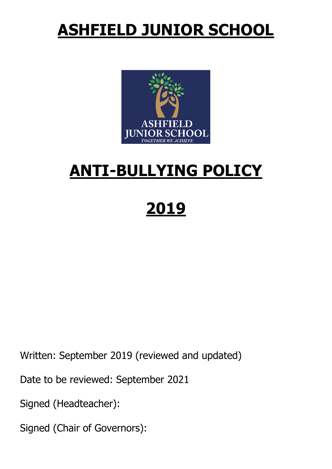## **ASHFIELD JUNIOR SCHOOL**



### **ANTI-BULLYING POLICY**

# **2019**

Written: September 2019 (reviewed and updated)

Date to be reviewed: September 2021

Signed (Headteacher):

Signed (Chair of Governors):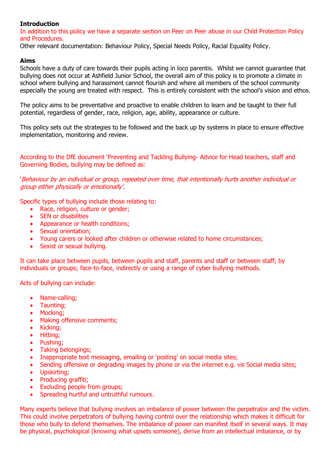#### **Introduction**

In addition to this policy we have a separate section on Peer on Peer abuse in our Child Protection Policy and Procedures.

Other relevant documentation: Behaviour Policy, Special Needs Policy, Racial Equality Policy.

#### **Aims**

Schools have a duty of care towards their pupils acting in loco parentis. Whilst we cannot guarantee that bullying does not occur at Ashfield Junior School, the overall aim of this policy is to promote a climate in school where bullying and harassment cannot flourish and where all members of the school community especially the young are treated with respect. This is entirely consistent with the school's vision and ethos.

The policy aims to be preventative and proactive to enable children to learn and be taught to their full potential, regardless of gender, race, religion, age, ability, appearance or culture.

This policy sets out the strategies to be followed and the back up by systems in place to ensure effective implementation, monitoring and review.

According to the DfE document 'Preventing and Tackling Bullying- Advice for Head teachers, staff and Governing Bodies, bullying may be defined as:

'Behaviour by an individual or group, repeated over time, that intentionally hurts another individual or group either physically or emotionally'.

Specific types of bullying include those relating to:

- Race, religion, culture or gender;
- SEN or disabilities
- Appearance or health conditions:
- Sexual orientation:
- Young carers or looked after children or otherwise related to home circumstances;
- Sexist or sexual bullying.

It can take place between pupils, between pupils and staff, parents and staff or between staff; by individuals or groups; face-to-face, indirectly or using a range of cyber bullying methods.

Acts of bullying can include:

- Name-calling;
- Taunting:
- Mocking;
- Making offensive comments:
- Kicking;
- Hitting;
- Pushing;
- Taking belongings;
- Inappropriate text messaging, emailing or 'posting' on social media sites;
- Sending offensive or degrading images by phone or via the internet e.g. vis Social media sites;
- Upskirting;
- Producing graffiti:
- Excluding people from groups;
- Spreading hurtful and untruthful rumours.

Many experts believe that bullying involves an imbalance of power between the perpetrator and the victim. This could involve perpetrators of bullying having control over the relationship which makes it difficult for those who bully to defend themselves. The imbalance of power can manifest itself in several ways. It may be physical, psychological (knowing what upsets someone), derive from an intellectual imbalance, or by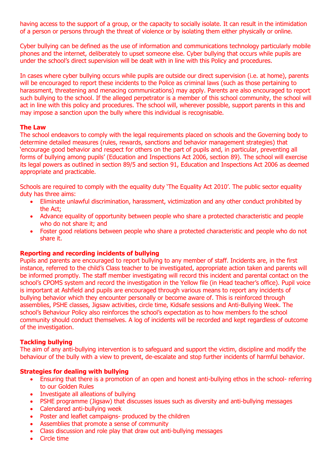having access to the support of a group, or the capacity to socially isolate. It can result in the intimidation of a person or persons through the threat of violence or by isolating them either physically or online.

Cyber bullying can be defined as the use of information and communications technology particularly mobile phones and the internet, deliberately to upset someone else. Cyber bullying that occurs while pupils are under the school's direct supervision will be dealt with in line with this Policy and procedures.

In cases where cyber bullying occurs while pupils are outside our direct supervision (i.e. at home), parents will be encouraged to report these incidents to the Police as criminal laws (such as those pertaining to harassment, threatening and menacing communications) may apply. Parents are also encouraged to report such bullying to the school. If the alleged perpetrator is a member of this school community, the school will act in line with this policy and procedures. The school will, wherever possible, support parents in this and may impose a sanction upon the bully where this individual is recognisable.

#### **The Law**

The school endeavors to comply with the legal requirements placed on schools and the Governing body to determine detailed measures (rules, rewards, sanctions and behavior management strategies) that 'encourage good behavior and respect for others on the part of pupils and, in particular, preventing all forms of bullying among pupils' (Education and Inspections Act 2006, section 89). The school will exercise its legal powers as outlined in section 89/5 and section 91, Education and Inspections Act 2006 as deemed appropriate and practicable.

Schools are required to comply with the equality duty 'The Equality Act 2010'. The public sector equality duty has three aims:

- Eliminate unlawful discrimination, harassment, victimization and any other conduct prohibited by the Act;
- Advance equality of opportunity between people who share a protected characteristic and people who do not share it; and
- Foster good relations between people who share a protected characteristic and people who do not share it.

#### **Reporting and recording incidents of bullying**

Pupils and parents are encouraged to report bullying to any member of staff. Incidents are, in the first instance, referred to the child's Class teacher to be investigated, appropriate action taken and parents will be informed promptly. The staff member investigating will record this incident and parental contact on the school's CPOMS system and record the investigation in the Yellow file (in Head teacher's office). Pupil voice is important at Ashfield and pupils are encouraged through various means to report any incidents of bullying behavior which they encounter personally or become aware of. This is reinforced through assemblies, PSHE classes, Jigsaw activities, circle time, Kidsafe sessions and Anti-Bullying Week. The school's Behaviour Policy also reinforces the school's expectation as to how members fo the school community should conduct themselves. A log of incidents will be recorded and kept regardless of outcome of the investigation.

#### **Tackling bullying**

The aim of any anti-bullying intervention is to safeguard and support the victim, discipline and modify the behaviour of the bully with a view to prevent, de-escalate and stop further incidents of harmful behavior.

#### **Strategies for dealing with bullying**

- Ensuring that there is a promotion of an open and honest anti-bullying ethos in the school- referring to our Golden Rules
- Investigate all alleations of bullying
- PSHE programme (Jigsaw) that discusses issues such as diversity and anti-bullying messages
- Calendared anti-bullying week
- Poster and leaflet campaigns- produced by the children
- Assemblies that promote a sense of community
- Class discussion and role play that draw out anti-bullying messages
- Circle time